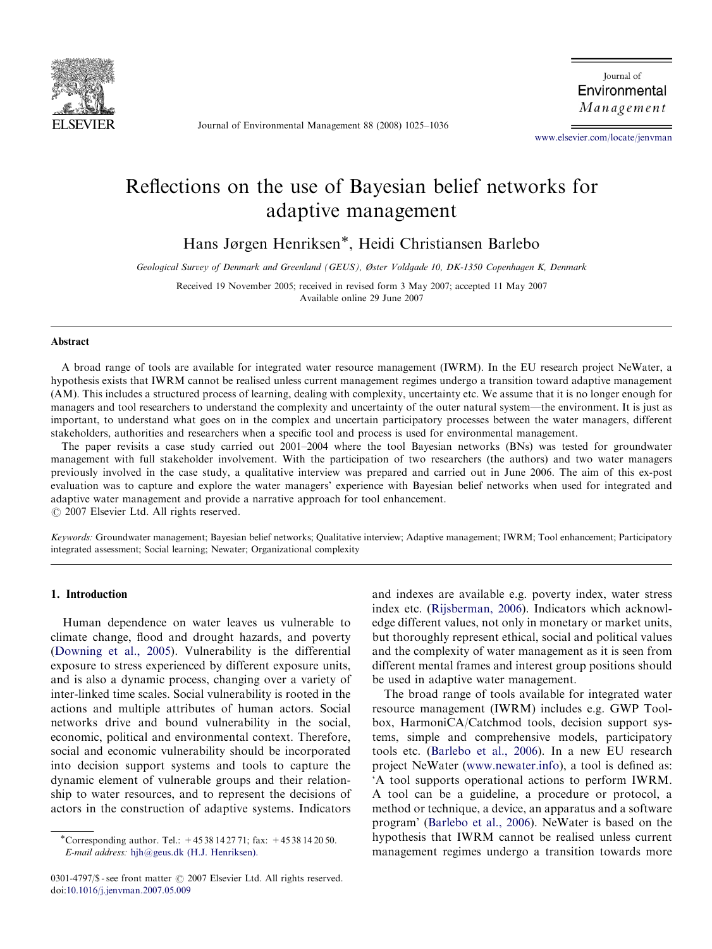

Journal of Environmental Management 88 (2008) 1025–1036

Journal of Environmental Management

<www.elsevier.com/locate/jenvman>

# Reflections on the use of Bayesian belief networks for adaptive management

Hans Jørgen Henriksen\*, Heidi Christiansen Barlebo

Geological Survey of Denmark and Greenland (GEUS), Øster Voldgade 10, DK-1350 Copenhagen K, Denmark

Received 19 November 2005; received in revised form 3 May 2007; accepted 11 May 2007 Available online 29 June 2007

#### Abstract

A broad range of tools are available for integrated water resource management (IWRM). In the EU research project NeWater, a hypothesis exists that IWRM cannot be realised unless current management regimes undergo a transition toward adaptive management (AM). This includes a structured process of learning, dealing with complexity, uncertainty etc. We assume that it is no longer enough for managers and tool researchers to understand the complexity and uncertainty of the outer natural system—the environment. It is just as important, to understand what goes on in the complex and uncertain participatory processes between the water managers, different stakeholders, authorities and researchers when a specific tool and process is used for environmental management.

The paper revisits a case study carried out 2001–2004 where the tool Bayesian networks (BNs) was tested for groundwater management with full stakeholder involvement. With the participation of two researchers (the authors) and two water managers previously involved in the case study, a qualitative interview was prepared and carried out in June 2006. The aim of this ex-post evaluation was to capture and explore the water managers' experience with Bayesian belief networks when used for integrated and adaptive water management and provide a narrative approach for tool enhancement.

 $C$  2007 Elsevier Ltd. All rights reserved.

Keywords: Groundwater management; Bayesian belief networks; Qualitative interview; Adaptive management; IWRM; Tool enhancement; Participatory integrated assessment; Social learning; Newater; Organizational complexity

#### 1. Introduction

Human dependence on water leaves us vulnerable to climate change, flood and drought hazards, and poverty ([Downing et al., 2005\)](#page-11-0). Vulnerability is the differential exposure to stress experienced by different exposure units, and is also a dynamic process, changing over a variety of inter-linked time scales. Social vulnerability is rooted in the actions and multiple attributes of human actors. Social networks drive and bound vulnerability in the social, economic, political and environmental context. Therefore, social and economic vulnerability should be incorporated into decision support systems and tools to capture the dynamic element of vulnerable groups and their relationship to water resources, and to represent the decisions of actors in the construction of adaptive systems. Indicators

and indexes are available e.g. poverty index, water stress index etc. ([Rijsberman, 2006\)](#page-11-0). Indicators which acknowledge different values, not only in monetary or market units, but thoroughly represent ethical, social and political values and the complexity of water management as it is seen from different mental frames and interest group positions should be used in adaptive water management.

The broad range of tools available for integrated water resource management (IWRM) includes e.g. GWP Toolbox, HarmoniCA/Catchmod tools, decision support systems, simple and comprehensive models, participatory tools etc. ([Barlebo et al., 2006\)](#page-10-0). In a new EU research project NeWater ([www.newater.info](http://www.newater.info)), a tool is defined as: 'A tool supports operational actions to perform IWRM. A tool can be a guideline, a procedure or protocol, a method or technique, a device, an apparatus and a software program' [\(Barlebo et al., 2006\)](#page-10-0). NeWater is based on the hypothesis that IWRM cannot be realised unless current management regimes undergo a transition towards more

<sup>\*</sup>Corresponding author. Tel.:  $+4538142771$ ; fax:  $+4538142050$ . E-mail address: [hjh@geus.dk \(H.J. Henriksen\).](mailto:hjh@geus.dk)

<sup>0301-4797/\$ -</sup> see front matter © 2007 Elsevier Ltd. All rights reserved. doi:[10.1016/j.jenvman.2007.05.009](dx.doi.org/10.1016/j.jenvman.2007.05.009)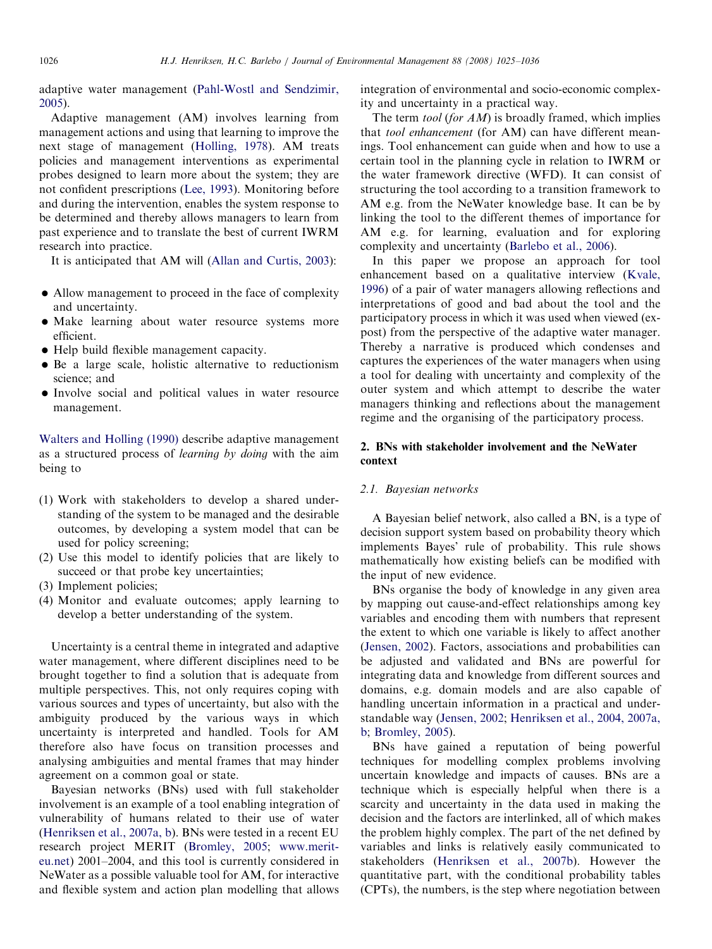adaptive water management ([Pahl-Wostl and Sendzimir,](#page-11-0) [2005\)](#page-11-0).

Adaptive management (AM) involves learning from management actions and using that learning to improve the next stage of management [\(Holling, 1978](#page-11-0)). AM treats policies and management interventions as experimental probes designed to learn more about the system; they are not confident prescriptions [\(Lee, 1993](#page-11-0)). Monitoring before and during the intervention, enables the system response to be determined and thereby allows managers to learn from past experience and to translate the best of current IWRM research into practice.

It is anticipated that AM will ([Allan and Curtis, 2003\)](#page-10-0):

- Allow management to proceed in the face of complexity and uncertainty.
- Make learning about water resource systems more efficient.
- Help build flexible management capacity.
- Be a large scale, holistic alternative to reductionism science; and
- Involve social and political values in water resource management.

[Walters and Holling \(1990\)](#page-11-0) describe adaptive management as a structured process of learning by doing with the aim being to

- (1) Work with stakeholders to develop a shared understanding of the system to be managed and the desirable outcomes, by developing a system model that can be used for policy screening;
- (2) Use this model to identify policies that are likely to succeed or that probe key uncertainties;
- (3) Implement policies;
- (4) Monitor and evaluate outcomes; apply learning to develop a better understanding of the system.

Uncertainty is a central theme in integrated and adaptive water management, where different disciplines need to be brought together to find a solution that is adequate from multiple perspectives. This, not only requires coping with various sources and types of uncertainty, but also with the ambiguity produced by the various ways in which uncertainty is interpreted and handled. Tools for AM therefore also have focus on transition processes and analysing ambiguities and mental frames that may hinder agreement on a common goal or state.

Bayesian networks (BNs) used with full stakeholder involvement is an example of a tool enabling integration of vulnerability of humans related to their use of water [\(Henriksen et al., 2007a, b\)](#page-11-0). BNs were tested in a recent EU research project MERIT [\(Bromley, 2005;](#page-10-0) [www.merit](http://www.merit-eu.net)[eu.net\)](http://www.merit-eu.net) 2001–2004, and this tool is currently considered in NeWater as a possible valuable tool for AM, for interactive and flexible system and action plan modelling that allows integration of environmental and socio-economic complexity and uncertainty in a practical way.

The term  $tool (for AM)$  is broadly framed, which implies that tool enhancement (for AM) can have different meanings. Tool enhancement can guide when and how to use a certain tool in the planning cycle in relation to IWRM or the water framework directive (WFD). It can consist of structuring the tool according to a transition framework to AM e.g. from the NeWater knowledge base. It can be by linking the tool to the different themes of importance for AM e.g. for learning, evaluation and for exploring complexity and uncertainty [\(Barlebo et al., 2006](#page-10-0)).

In this paper we propose an approach for tool enhancement based on a qualitative interview ([Kvale,](#page-11-0) [1996\)](#page-11-0) of a pair of water managers allowing reflections and interpretations of good and bad about the tool and the participatory process in which it was used when viewed (expost) from the perspective of the adaptive water manager. Thereby a narrative is produced which condenses and captures the experiences of the water managers when using a tool for dealing with uncertainty and complexity of the outer system and which attempt to describe the water managers thinking and reflections about the management regime and the organising of the participatory process.

## 2. BNs with stakeholder involvement and the NeWater context

#### 2.1. Bayesian networks

A Bayesian belief network, also called a BN, is a type of decision support system based on probability theory which implements Bayes' rule of probability. This rule shows mathematically how existing beliefs can be modified with the input of new evidence.

BNs organise the body of knowledge in any given area by mapping out cause-and-effect relationships among key variables and encoding them with numbers that represent the extent to which one variable is likely to affect another [\(Jensen, 2002](#page-11-0)). Factors, associations and probabilities can be adjusted and validated and BNs are powerful for integrating data and knowledge from different sources and domains, e.g. domain models and are also capable of handling uncertain information in a practical and understandable way [\(Jensen, 2002;](#page-11-0) [Henriksen et al., 2004, 2007a,](#page-11-0) [b](#page-11-0); [Bromley, 2005\)](#page-10-0).

BNs have gained a reputation of being powerful techniques for modelling complex problems involving uncertain knowledge and impacts of causes. BNs are a technique which is especially helpful when there is a scarcity and uncertainty in the data used in making the decision and the factors are interlinked, all of which makes the problem highly complex. The part of the net defined by variables and links is relatively easily communicated to stakeholders [\(Henriksen et al., 2007b\)](#page-11-0). However the quantitative part, with the conditional probability tables (CPTs), the numbers, is the step where negotiation between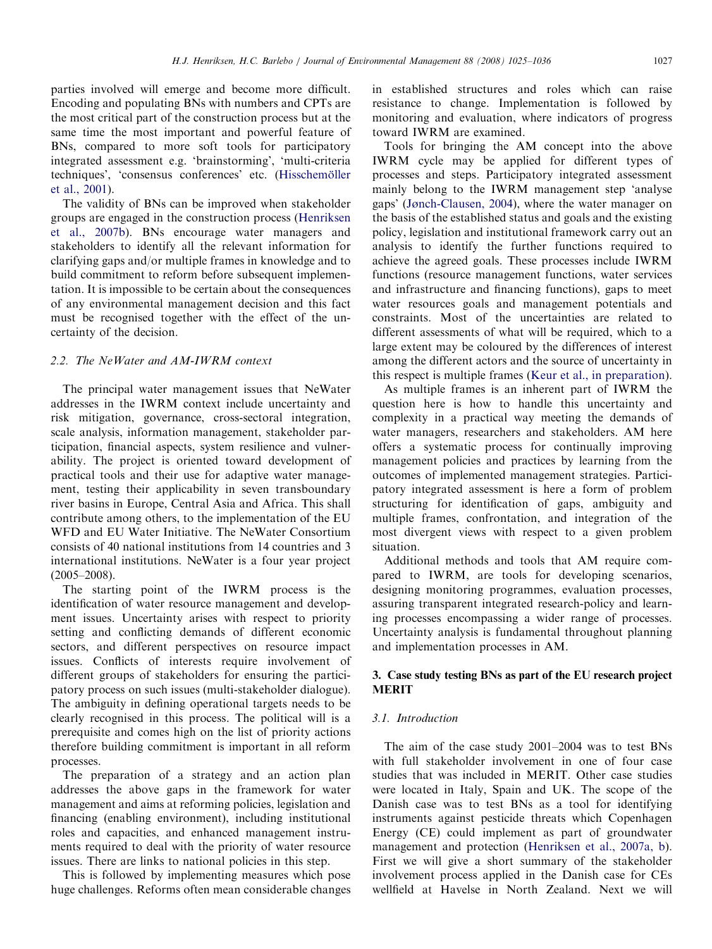parties involved will emerge and become more difficult. Encoding and populating BNs with numbers and CPTs are the most critical part of the construction process but at the same time the most important and powerful feature of BNs, compared to more soft tools for participatory integrated assessment e.g. 'brainstorming', 'multi-criteria techniques', 'consensus conferences' etc. (Hisschemöller [et al., 2001\)](#page-11-0).

The validity of BNs can be improved when stakeholder groups are engaged in the construction process ([Henriksen](#page-11-0) [et al., 2007b\)](#page-11-0). BNs encourage water managers and stakeholders to identify all the relevant information for clarifying gaps and/or multiple frames in knowledge and to build commitment to reform before subsequent implementation. It is impossible to be certain about the consequences of any environmental management decision and this fact must be recognised together with the effect of the uncertainty of the decision.

#### 2.2. The NeWater and AM-IWRM context

The principal water management issues that NeWater addresses in the IWRM context include uncertainty and risk mitigation, governance, cross-sectoral integration, scale analysis, information management, stakeholder participation, financial aspects, system resilience and vulnerability. The project is oriented toward development of practical tools and their use for adaptive water management, testing their applicability in seven transboundary river basins in Europe, Central Asia and Africa. This shall contribute among others, to the implementation of the EU WFD and EU Water Initiative. The NeWater Consortium consists of 40 national institutions from 14 countries and 3 international institutions. NeWater is a four year project  $(2005 - 2008)$ .

The starting point of the IWRM process is the identification of water resource management and development issues. Uncertainty arises with respect to priority setting and conflicting demands of different economic sectors, and different perspectives on resource impact issues. Conflicts of interests require involvement of different groups of stakeholders for ensuring the participatory process on such issues (multi-stakeholder dialogue). The ambiguity in defining operational targets needs to be clearly recognised in this process. The political will is a prerequisite and comes high on the list of priority actions therefore building commitment is important in all reform processes.

The preparation of a strategy and an action plan addresses the above gaps in the framework for water management and aims at reforming policies, legislation and financing (enabling environment), including institutional roles and capacities, and enhanced management instruments required to deal with the priority of water resource issues. There are links to national policies in this step.

This is followed by implementing measures which pose huge challenges. Reforms often mean considerable changes in established structures and roles which can raise resistance to change. Implementation is followed by monitoring and evaluation, where indicators of progress toward IWRM are examined.

Tools for bringing the AM concept into the above IWRM cycle may be applied for different types of processes and steps. Participatory integrated assessment mainly belong to the IWRM management step 'analyse gaps' [\(Jønch-Clausen, 2004](#page-11-0)), where the water manager on the basis of the established status and goals and the existing policy, legislation and institutional framework carry out an analysis to identify the further functions required to achieve the agreed goals. These processes include IWRM functions (resource management functions, water services and infrastructure and financing functions), gaps to meet water resources goals and management potentials and constraints. Most of the uncertainties are related to different assessments of what will be required, which to a large extent may be coloured by the differences of interest among the different actors and the source of uncertainty in this respect is multiple frames [\(Keur et al., in preparation\)](#page-11-0).

As multiple frames is an inherent part of IWRM the question here is how to handle this uncertainty and complexity in a practical way meeting the demands of water managers, researchers and stakeholders. AM here offers a systematic process for continually improving management policies and practices by learning from the outcomes of implemented management strategies. Participatory integrated assessment is here a form of problem structuring for identification of gaps, ambiguity and multiple frames, confrontation, and integration of the most divergent views with respect to a given problem situation.

Additional methods and tools that AM require compared to IWRM, are tools for developing scenarios, designing monitoring programmes, evaluation processes, assuring transparent integrated research-policy and learning processes encompassing a wider range of processes. Uncertainty analysis is fundamental throughout planning and implementation processes in AM.

## 3. Case study testing BNs as part of the EU research project MERIT

#### 3.1. Introduction

The aim of the case study 2001–2004 was to test BNs with full stakeholder involvement in one of four case studies that was included in MERIT. Other case studies were located in Italy, Spain and UK. The scope of the Danish case was to test BNs as a tool for identifying instruments against pesticide threats which Copenhagen Energy (CE) could implement as part of groundwater management and protection ([Henriksen et al., 2007a, b\)](#page-11-0). First we will give a short summary of the stakeholder involvement process applied in the Danish case for CEs wellfield at Havelse in North Zealand. Next we will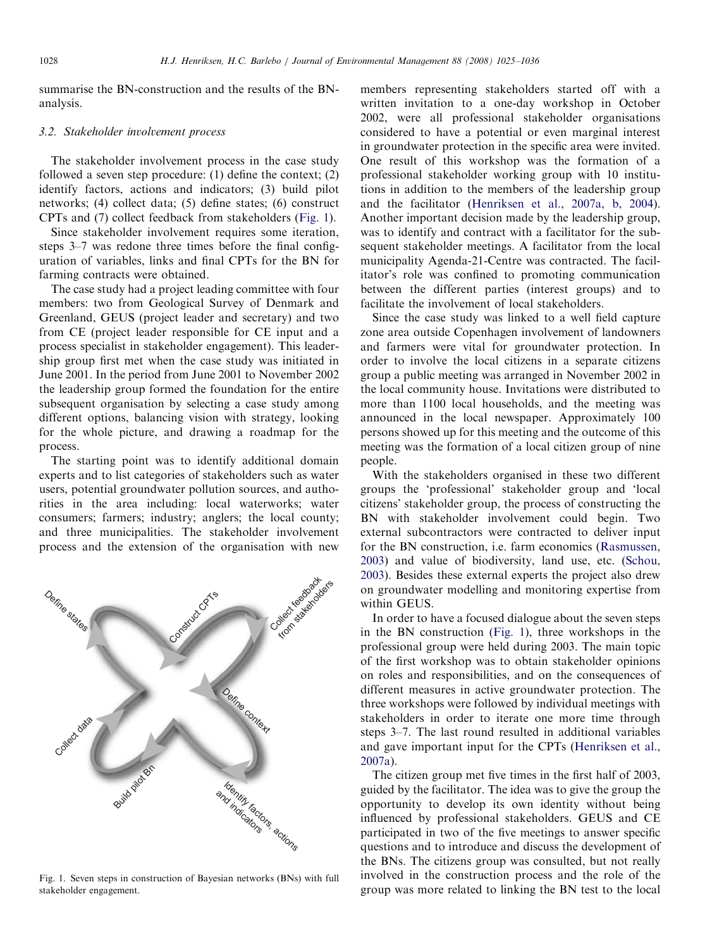summarise the BN-construction and the results of the BNanalysis.

#### 3.2. Stakeholder involvement process

The stakeholder involvement process in the case study followed a seven step procedure: (1) define the context; (2) identify factors, actions and indicators; (3) build pilot networks; (4) collect data; (5) define states; (6) construct CPTs and (7) collect feedback from stakeholders (Fig. 1).

Since stakeholder involvement requires some iteration, steps 3–7 was redone three times before the final configuration of variables, links and final CPTs for the BN for farming contracts were obtained.

The case study had a project leading committee with four members: two from Geological Survey of Denmark and Greenland, GEUS (project leader and secretary) and two from CE (project leader responsible for CE input and a process specialist in stakeholder engagement). This leadership group first met when the case study was initiated in June 2001. In the period from June 2001 to November 2002 the leadership group formed the foundation for the entire subsequent organisation by selecting a case study among different options, balancing vision with strategy, looking for the whole picture, and drawing a roadmap for the process.

The starting point was to identify additional domain experts and to list categories of stakeholders such as water users, potential groundwater pollution sources, and authorities in the area including: local waterworks; water consumers; farmers; industry; anglers; the local county; and three municipalities. The stakeholder involvement process and the extension of the organisation with new



Fig. 1. Seven steps in construction of Bayesian networks (BNs) with full stakeholder engagement.

members representing stakeholders started off with a written invitation to a one-day workshop in October 2002, were all professional stakeholder organisations considered to have a potential or even marginal interest in groundwater protection in the specific area were invited. One result of this workshop was the formation of a professional stakeholder working group with 10 institutions in addition to the members of the leadership group and the facilitator ([Henriksen et al., 2007a, b, 2004\)](#page-11-0). Another important decision made by the leadership group, was to identify and contract with a facilitator for the subsequent stakeholder meetings. A facilitator from the local municipality Agenda-21-Centre was contracted. The facilitator's role was confined to promoting communication between the different parties (interest groups) and to facilitate the involvement of local stakeholders.

Since the case study was linked to a well field capture zone area outside Copenhagen involvement of landowners and farmers were vital for groundwater protection. In order to involve the local citizens in a separate citizens group a public meeting was arranged in November 2002 in the local community house. Invitations were distributed to more than 1100 local households, and the meeting was announced in the local newspaper. Approximately 100 persons showed up for this meeting and the outcome of this meeting was the formation of a local citizen group of nine people.

With the stakeholders organised in these two different groups the 'professional' stakeholder group and 'local citizens' stakeholder group, the process of constructing the BN with stakeholder involvement could begin. Two external subcontractors were contracted to deliver input for the BN construction, i.e. farm economics [\(Rasmussen,](#page-11-0) [2003\)](#page-11-0) and value of biodiversity, land use, etc. ([Schou,](#page-11-0) [2003\)](#page-11-0). Besides these external experts the project also drew on groundwater modelling and monitoring expertise from within GEUS.

In order to have a focused dialogue about the seven steps in the BN construction (Fig. 1), three workshops in the professional group were held during 2003. The main topic of the first workshop was to obtain stakeholder opinions on roles and responsibilities, and on the consequences of different measures in active groundwater protection. The three workshops were followed by individual meetings with stakeholders in order to iterate one more time through steps 3–7. The last round resulted in additional variables and gave important input for the CPTs ([Henriksen et al.,](#page-11-0) [2007a\)](#page-11-0).

The citizen group met five times in the first half of 2003, guided by the facilitator. The idea was to give the group the opportunity to develop its own identity without being influenced by professional stakeholders. GEUS and CE participated in two of the five meetings to answer specific questions and to introduce and discuss the development of the BNs. The citizens group was consulted, but not really involved in the construction process and the role of the group was more related to linking the BN test to the local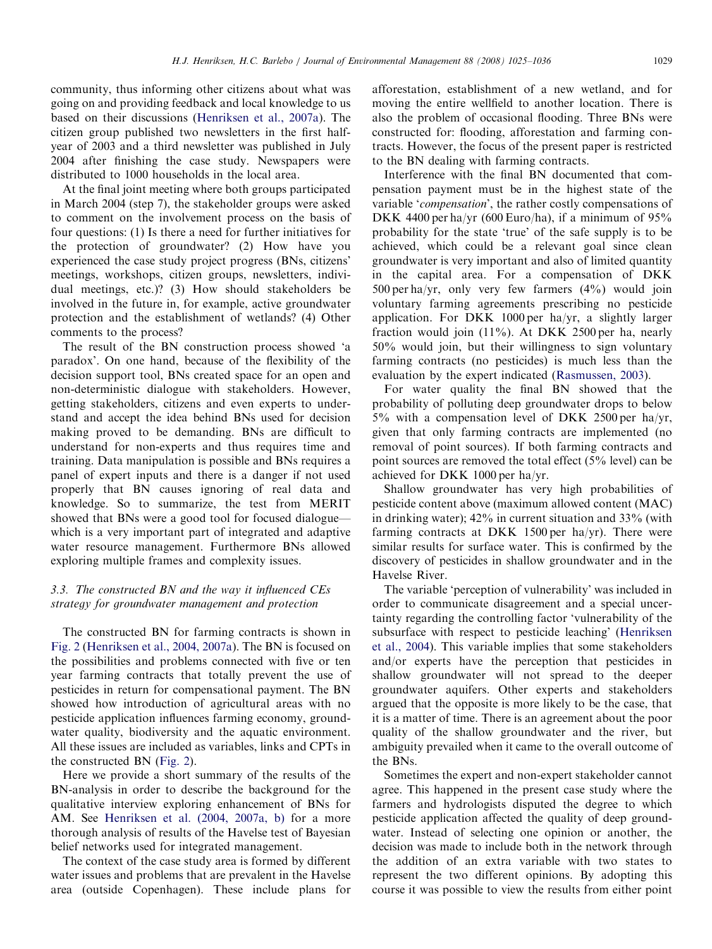community, thus informing other citizens about what was going on and providing feedback and local knowledge to us based on their discussions ([Henriksen et al., 2007a\)](#page-11-0). The citizen group published two newsletters in the first halfyear of 2003 and a third newsletter was published in July 2004 after finishing the case study. Newspapers were distributed to 1000 households in the local area.

At the final joint meeting where both groups participated in March 2004 (step 7), the stakeholder groups were asked to comment on the involvement process on the basis of four questions: (1) Is there a need for further initiatives for the protection of groundwater? (2) How have you experienced the case study project progress (BNs, citizens' meetings, workshops, citizen groups, newsletters, individual meetings, etc.)? (3) How should stakeholders be involved in the future in, for example, active groundwater protection and the establishment of wetlands? (4) Other comments to the process?

The result of the BN construction process showed 'a paradox'. On one hand, because of the flexibility of the decision support tool, BNs created space for an open and non-deterministic dialogue with stakeholders. However, getting stakeholders, citizens and even experts to understand and accept the idea behind BNs used for decision making proved to be demanding. BNs are difficult to understand for non-experts and thus requires time and training. Data manipulation is possible and BNs requires a panel of expert inputs and there is a danger if not used properly that BN causes ignoring of real data and knowledge. So to summarize, the test from MERIT showed that BNs were a good tool for focused dialogue which is a very important part of integrated and adaptive water resource management. Furthermore BNs allowed exploring multiple frames and complexity issues.

## 3.3. The constructed BN and the way it influenced CEs strategy for groundwater management and protection

The constructed BN for farming contracts is shown in [Fig. 2](#page-5-0) ([Henriksen et al., 2004, 2007a](#page-11-0)). The BN is focused on the possibilities and problems connected with five or ten year farming contracts that totally prevent the use of pesticides in return for compensational payment. The BN showed how introduction of agricultural areas with no pesticide application influences farming economy, groundwater quality, biodiversity and the aquatic environment. All these issues are included as variables, links and CPTs in the constructed BN [\(Fig. 2\)](#page-5-0).

Here we provide a short summary of the results of the BN-analysis in order to describe the background for the qualitative interview exploring enhancement of BNs for AM. See [Henriksen et al. \(2004, 2007a, b\)](#page-11-0) for a more thorough analysis of results of the Havelse test of Bayesian belief networks used for integrated management.

The context of the case study area is formed by different water issues and problems that are prevalent in the Havelse area (outside Copenhagen). These include plans for afforestation, establishment of a new wetland, and for moving the entire wellfield to another location. There is also the problem of occasional flooding. Three BNs were constructed for: flooding, afforestation and farming contracts. However, the focus of the present paper is restricted to the BN dealing with farming contracts.

Interference with the final BN documented that compensation payment must be in the highest state of the variable 'compensation', the rather costly compensations of DKK 4400 per ha/yr (600 Euro/ha), if a minimum of 95% probability for the state 'true' of the safe supply is to be achieved, which could be a relevant goal since clean groundwater is very important and also of limited quantity in the capital area. For a compensation of DKK 500 per ha/yr, only very few farmers (4%) would join voluntary farming agreements prescribing no pesticide application. For DKK 1000 per ha/yr, a slightly larger fraction would join  $(11\%)$ . At DKK 2500 per ha, nearly 50% would join, but their willingness to sign voluntary farming contracts (no pesticides) is much less than the evaluation by the expert indicated [\(Rasmussen, 2003\)](#page-11-0).

For water quality the final BN showed that the probability of polluting deep groundwater drops to below 5% with a compensation level of DKK 2500 per ha/yr, given that only farming contracts are implemented (no removal of point sources). If both farming contracts and point sources are removed the total effect (5% level) can be achieved for DKK 1000 per ha/yr.

Shallow groundwater has very high probabilities of pesticide content above (maximum allowed content (MAC) in drinking water); 42% in current situation and 33% (with farming contracts at DKK 1500 per ha/yr). There were similar results for surface water. This is confirmed by the discovery of pesticides in shallow groundwater and in the Havelse River.

The variable 'perception of vulnerability' was included in order to communicate disagreement and a special uncertainty regarding the controlling factor 'vulnerability of the subsurface with respect to pesticide leaching' ([Henriksen](#page-11-0) [et al., 2004](#page-11-0)). This variable implies that some stakeholders and/or experts have the perception that pesticides in shallow groundwater will not spread to the deeper groundwater aquifers. Other experts and stakeholders argued that the opposite is more likely to be the case, that it is a matter of time. There is an agreement about the poor quality of the shallow groundwater and the river, but ambiguity prevailed when it came to the overall outcome of the BNs.

Sometimes the expert and non-expert stakeholder cannot agree. This happened in the present case study where the farmers and hydrologists disputed the degree to which pesticide application affected the quality of deep groundwater. Instead of selecting one opinion or another, the decision was made to include both in the network through the addition of an extra variable with two states to represent the two different opinions. By adopting this course it was possible to view the results from either point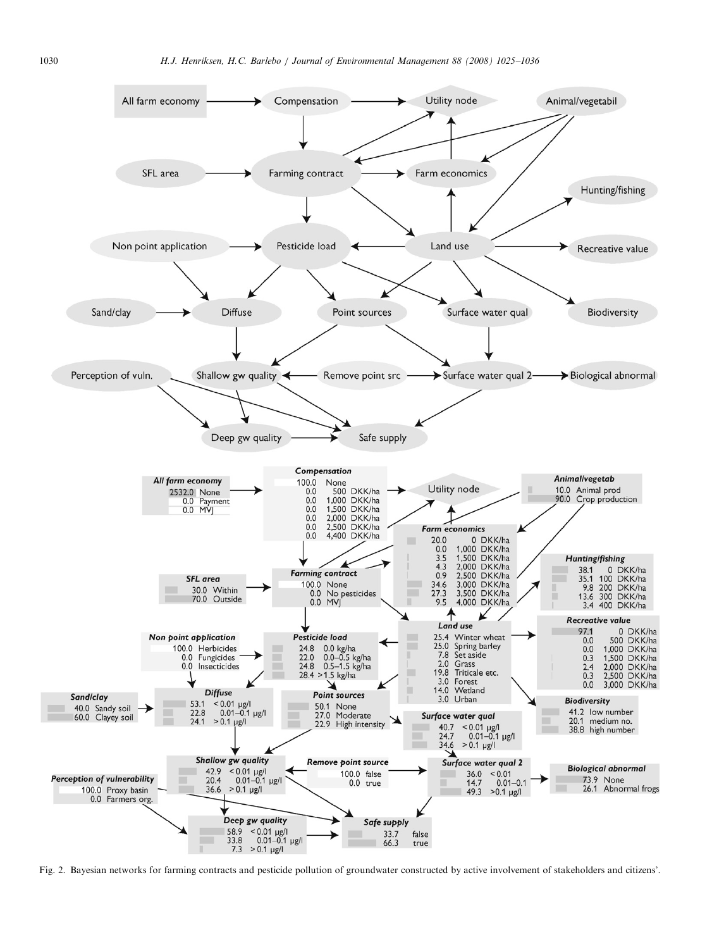<span id="page-5-0"></span>

Fig. 2. Bayesian networks for farming contracts and pesticide pollution of groundwater constructed by active involvement of stakeholders and citizens'.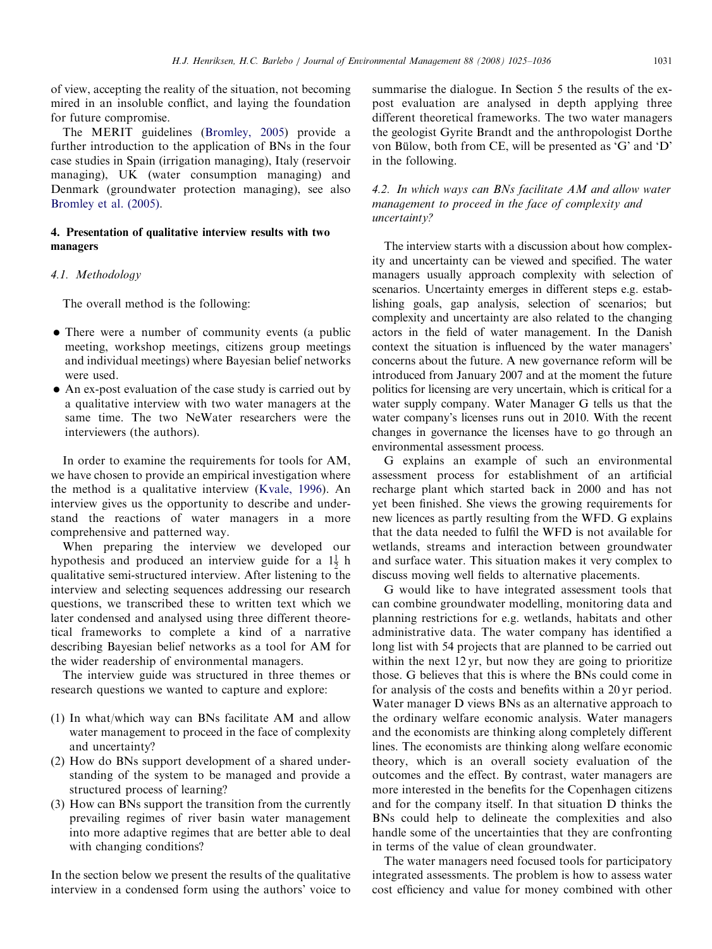of view, accepting the reality of the situation, not becoming mired in an insoluble conflict, and laying the foundation for future compromise.

The MERIT guidelines ([Bromley, 2005\)](#page-10-0) provide a further introduction to the application of BNs in the four case studies in Spain (irrigation managing), Italy (reservoir managing), UK (water consumption managing) and Denmark (groundwater protection managing), see also [Bromley et al. \(2005\)](#page-10-0).

#### 4. Presentation of qualitative interview results with two managers

#### 4.1. Methodology

The overall method is the following:

- There were a number of community events (a public meeting, workshop meetings, citizens group meetings and individual meetings) where Bayesian belief networks were used.
- $\bullet$  An ex-post evaluation of the case study is carried out by a qualitative interview with two water managers at the same time. The two NeWater researchers were the interviewers (the authors).

In order to examine the requirements for tools for AM, we have chosen to provide an empirical investigation where the method is a qualitative interview ([Kvale, 1996](#page-11-0)). An interview gives us the opportunity to describe and understand the reactions of water managers in a more comprehensive and patterned way.

When preparing the interview we developed our hypothesis and produced an interview guide for a  $1\frac{1}{2}$  h qualitative semi-structured interview. After listening to the interview and selecting sequences addressing our research questions, we transcribed these to written text which we later condensed and analysed using three different theoretical frameworks to complete a kind of a narrative describing Bayesian belief networks as a tool for AM for the wider readership of environmental managers.

The interview guide was structured in three themes or research questions we wanted to capture and explore:

- (1) In what/which way can BNs facilitate AM and allow water management to proceed in the face of complexity and uncertainty?
- (2) How do BNs support development of a shared understanding of the system to be managed and provide a structured process of learning?
- (3) How can BNs support the transition from the currently prevailing regimes of river basin water management into more adaptive regimes that are better able to deal with changing conditions?

In the section below we present the results of the qualitative interview in a condensed form using the authors' voice to summarise the dialogue. In Section 5 the results of the expost evaluation are analysed in depth applying three different theoretical frameworks. The two water managers the geologist Gyrite Brandt and the anthropologist Dorthe von Bülow, both from CE, will be presented as 'G' and 'D' in the following.

## 4.2. In which ways can BNs facilitate AM and allow water management to proceed in the face of complexity and uncertainty?

The interview starts with a discussion about how complexity and uncertainty can be viewed and specified. The water managers usually approach complexity with selection of scenarios. Uncertainty emerges in different steps e.g. establishing goals, gap analysis, selection of scenarios; but complexity and uncertainty are also related to the changing actors in the field of water management. In the Danish context the situation is influenced by the water managers' concerns about the future. A new governance reform will be introduced from January 2007 and at the moment the future politics for licensing are very uncertain, which is critical for a water supply company. Water Manager G tells us that the water company's licenses runs out in 2010. With the recent changes in governance the licenses have to go through an environmental assessment process.

G explains an example of such an environmental assessment process for establishment of an artificial recharge plant which started back in 2000 and has not yet been finished. She views the growing requirements for new licences as partly resulting from the WFD. G explains that the data needed to fulfil the WFD is not available for wetlands, streams and interaction between groundwater and surface water. This situation makes it very complex to discuss moving well fields to alternative placements.

G would like to have integrated assessment tools that can combine groundwater modelling, monitoring data and planning restrictions for e.g. wetlands, habitats and other administrative data. The water company has identified a long list with 54 projects that are planned to be carried out within the next 12 yr, but now they are going to prioritize those. G believes that this is where the BNs could come in for analysis of the costs and benefits within a 20 yr period. Water manager D views BNs as an alternative approach to the ordinary welfare economic analysis. Water managers and the economists are thinking along completely different lines. The economists are thinking along welfare economic theory, which is an overall society evaluation of the outcomes and the effect. By contrast, water managers are more interested in the benefits for the Copenhagen citizens and for the company itself. In that situation D thinks the BNs could help to delineate the complexities and also handle some of the uncertainties that they are confronting in terms of the value of clean groundwater.

The water managers need focused tools for participatory integrated assessments. The problem is how to assess water cost efficiency and value for money combined with other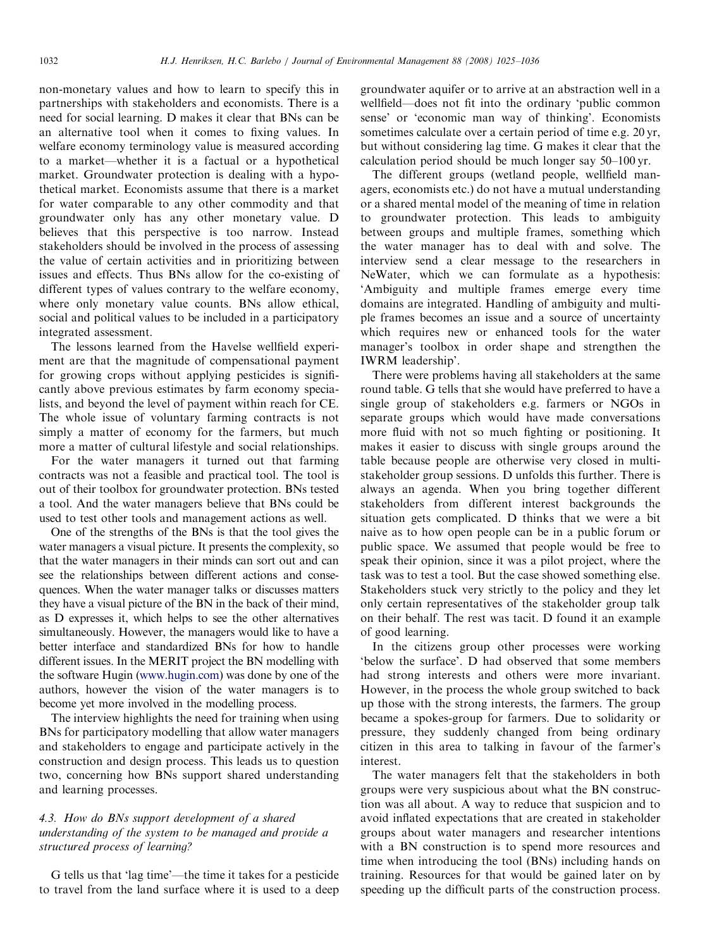non-monetary values and how to learn to specify this in partnerships with stakeholders and economists. There is a need for social learning. D makes it clear that BNs can be an alternative tool when it comes to fixing values. In welfare economy terminology value is measured according to a market—whether it is a factual or a hypothetical market. Groundwater protection is dealing with a hypothetical market. Economists assume that there is a market for water comparable to any other commodity and that groundwater only has any other monetary value. D believes that this perspective is too narrow. Instead stakeholders should be involved in the process of assessing the value of certain activities and in prioritizing between issues and effects. Thus BNs allow for the co-existing of different types of values contrary to the welfare economy, where only monetary value counts. BNs allow ethical, social and political values to be included in a participatory integrated assessment.

The lessons learned from the Havelse wellfield experiment are that the magnitude of compensational payment for growing crops without applying pesticides is significantly above previous estimates by farm economy specialists, and beyond the level of payment within reach for CE. The whole issue of voluntary farming contracts is not simply a matter of economy for the farmers, but much more a matter of cultural lifestyle and social relationships.

For the water managers it turned out that farming contracts was not a feasible and practical tool. The tool is out of their toolbox for groundwater protection. BNs tested a tool. And the water managers believe that BNs could be used to test other tools and management actions as well.

One of the strengths of the BNs is that the tool gives the water managers a visual picture. It presents the complexity, so that the water managers in their minds can sort out and can see the relationships between different actions and consequences. When the water manager talks or discusses matters they have a visual picture of the BN in the back of their mind, as D expresses it, which helps to see the other alternatives simultaneously. However, the managers would like to have a better interface and standardized BNs for how to handle different issues. In the MERIT project the BN modelling with the software Hugin [\(www.hugin.com\)](http://www.hugin.comhttp://) was done by one of the authors, however the vision of the water managers is to become yet more involved in the modelling process.

The interview highlights the need for training when using BNs for participatory modelling that allow water managers and stakeholders to engage and participate actively in the construction and design process. This leads us to question two, concerning how BNs support shared understanding and learning processes.

## 4.3. How do BNs support development of a shared understanding of the system to be managed and provide a structured process of learning?

G tells us that 'lag time'—the time it takes for a pesticide to travel from the land surface where it is used to a deep groundwater aquifer or to arrive at an abstraction well in a wellfield—does not fit into the ordinary 'public common sense' or 'economic man way of thinking'. Economists sometimes calculate over a certain period of time e.g. 20 yr, but without considering lag time. G makes it clear that the calculation period should be much longer say 50–100 yr.

The different groups (wetland people, wellfield managers, economists etc.) do not have a mutual understanding or a shared mental model of the meaning of time in relation to groundwater protection. This leads to ambiguity between groups and multiple frames, something which the water manager has to deal with and solve. The interview send a clear message to the researchers in NeWater, which we can formulate as a hypothesis: 'Ambiguity and multiple frames emerge every time domains are integrated. Handling of ambiguity and multiple frames becomes an issue and a source of uncertainty which requires new or enhanced tools for the water manager's toolbox in order shape and strengthen the IWRM leadership'.

There were problems having all stakeholders at the same round table. G tells that she would have preferred to have a single group of stakeholders e.g. farmers or NGOs in separate groups which would have made conversations more fluid with not so much fighting or positioning. It makes it easier to discuss with single groups around the table because people are otherwise very closed in multistakeholder group sessions. D unfolds this further. There is always an agenda. When you bring together different stakeholders from different interest backgrounds the situation gets complicated. D thinks that we were a bit naive as to how open people can be in a public forum or public space. We assumed that people would be free to speak their opinion, since it was a pilot project, where the task was to test a tool. But the case showed something else. Stakeholders stuck very strictly to the policy and they let only certain representatives of the stakeholder group talk on their behalf. The rest was tacit. D found it an example of good learning.

In the citizens group other processes were working 'below the surface'. D had observed that some members had strong interests and others were more invariant. However, in the process the whole group switched to back up those with the strong interests, the farmers. The group became a spokes-group for farmers. Due to solidarity or pressure, they suddenly changed from being ordinary citizen in this area to talking in favour of the farmer's interest.

The water managers felt that the stakeholders in both groups were very suspicious about what the BN construction was all about. A way to reduce that suspicion and to avoid inflated expectations that are created in stakeholder groups about water managers and researcher intentions with a BN construction is to spend more resources and time when introducing the tool (BNs) including hands on training. Resources for that would be gained later on by speeding up the difficult parts of the construction process.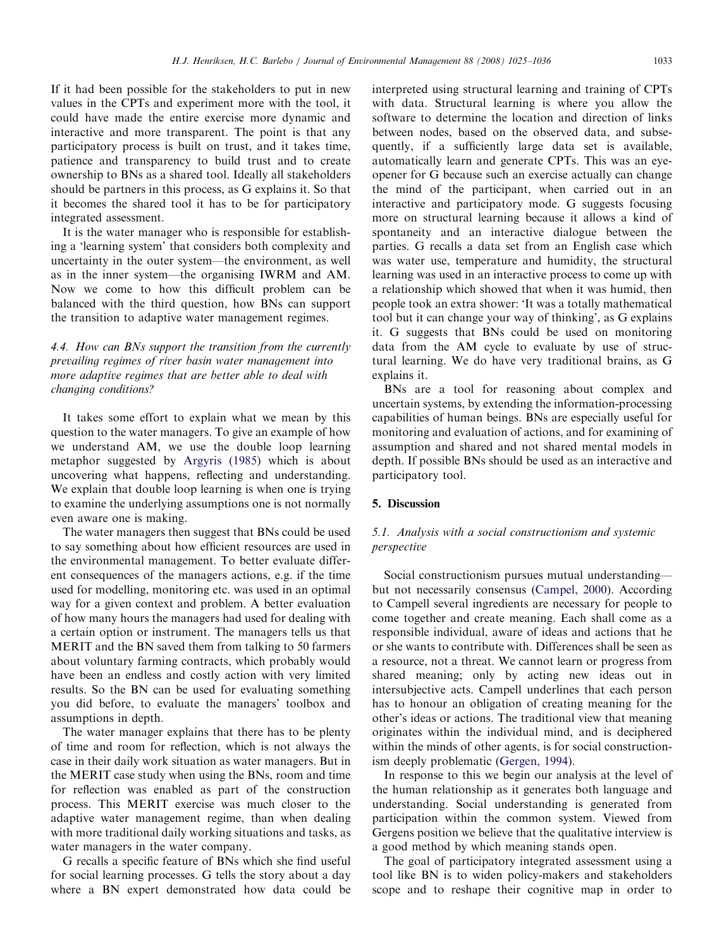If it had been possible for the stakeholders to put in new values in the CPTs and experiment more with the tool, it could have made the entire exercise more dynamic and interactive and more transparent. The point is that any participatory process is built on trust, and it takes time, patience and transparency to build trust and to create ownership to BNs as a shared tool. Ideally all stakeholders should be partners in this process, as G explains it. So that it becomes the shared tool it has to be for participatory integrated assessment.

It is the water manager who is responsible for establishing a 'learning system' that considers both complexity and uncertainty in the outer system—the environment, as well as in the inner system—the organising IWRM and AM. Now we come to how this difficult problem can be balanced with the third question, how BNs can support the transition to adaptive water management regimes.

## 4.4. How can BNs support the transition from the currently prevailing regimes of river basin water management into more adaptive regimes that are better able to deal with changing conditions?

It takes some effort to explain what we mean by this question to the water managers. To give an example of how we understand AM, we use the double loop learning metaphor suggested by [Argyris \(1985\)](#page-10-0) which is about uncovering what happens, reflecting and understanding. We explain that double loop learning is when one is trying to examine the underlying assumptions one is not normally even aware one is making.

The water managers then suggest that BNs could be used to say something about how efficient resources are used in the environmental management. To better evaluate different consequences of the managers actions, e.g. if the time used for modelling, monitoring etc. was used in an optimal way for a given context and problem. A better evaluation of how many hours the managers had used for dealing with a certain option or instrument. The managers tells us that MERIT and the BN saved them from talking to 50 farmers about voluntary farming contracts, which probably would have been an endless and costly action with very limited results. So the BN can be used for evaluating something you did before, to evaluate the managers' toolbox and assumptions in depth.

The water manager explains that there has to be plenty of time and room for reflection, which is not always the case in their daily work situation as water managers. But in the MERIT case study when using the BNs, room and time for reflection was enabled as part of the construction process. This MERIT exercise was much closer to the adaptive water management regime, than when dealing with more traditional daily working situations and tasks, as water managers in the water company.

G recalls a specific feature of BNs which she find useful for social learning processes. G tells the story about a day where a BN expert demonstrated how data could be interpreted using structural learning and training of CPTs with data. Structural learning is where you allow the software to determine the location and direction of links between nodes, based on the observed data, and subsequently, if a sufficiently large data set is available, automatically learn and generate CPTs. This was an eyeopener for G because such an exercise actually can change the mind of the participant, when carried out in an interactive and participatory mode. G suggests focusing more on structural learning because it allows a kind of spontaneity and an interactive dialogue between the parties. G recalls a data set from an English case which was water use, temperature and humidity, the structural learning was used in an interactive process to come up with a relationship which showed that when it was humid, then people took an extra shower: 'It was a totally mathematical tool but it can change your way of thinking', as G explains it. G suggests that BNs could be used on monitoring data from the AM cycle to evaluate by use of structural learning. We do have very traditional brains, as G explains it.

BNs are a tool for reasoning about complex and uncertain systems, by extending the information-processing capabilities of human beings. BNs are especially useful for monitoring and evaluation of actions, and for examining of assumption and shared and not shared mental models in depth. If possible BNs should be used as an interactive and participatory tool.

#### 5. Discussion

## 5.1. Analysis with a social constructionism and systemic perspective

Social constructionism pursues mutual understanding but not necessarily consensus [\(Campel, 2000\)](#page-11-0). According to Campell several ingredients are necessary for people to come together and create meaning. Each shall come as a responsible individual, aware of ideas and actions that he or she wants to contribute with. Differences shall be seen as a resource, not a threat. We cannot learn or progress from shared meaning; only by acting new ideas out in intersubjective acts. Campell underlines that each person has to honour an obligation of creating meaning for the other's ideas or actions. The traditional view that meaning originates within the individual mind, and is deciphered within the minds of other agents, is for social constructionism deeply problematic [\(Gergen, 1994](#page-11-0)).

In response to this we begin our analysis at the level of the human relationship as it generates both language and understanding. Social understanding is generated from participation within the common system. Viewed from Gergens position we believe that the qualitative interview is a good method by which meaning stands open.

The goal of participatory integrated assessment using a tool like BN is to widen policy-makers and stakeholders scope and to reshape their cognitive map in order to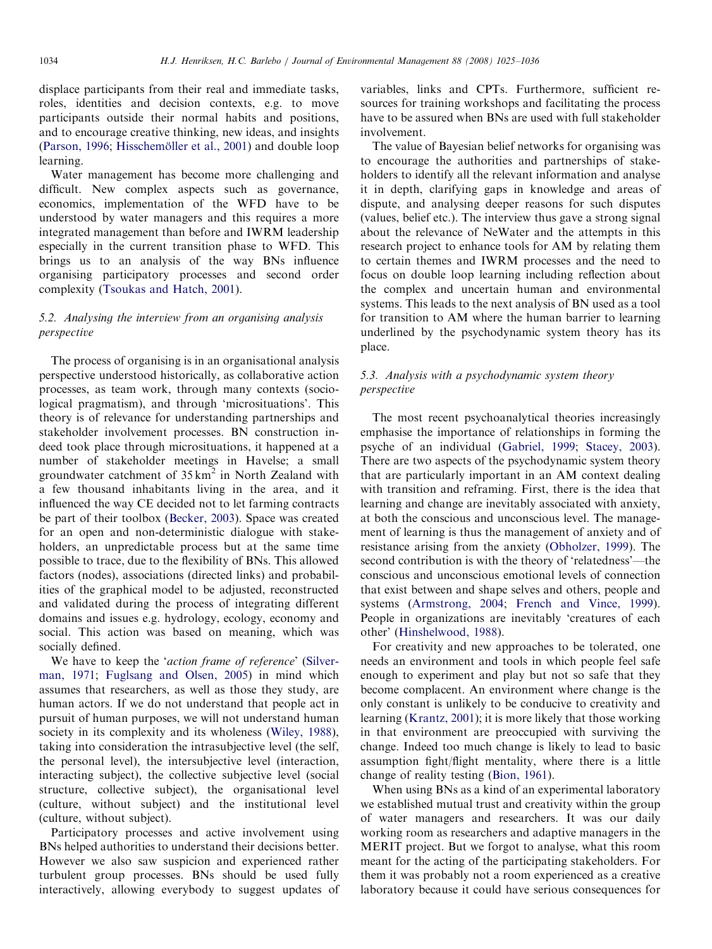displace participants from their real and immediate tasks, roles, identities and decision contexts, e.g. to move participants outside their normal habits and positions, and to encourage creative thinking, new ideas, and insights [\(Parson, 1996](#page-11-0); Hisschemöller et al., 2001) and double loop learning.

Water management has become more challenging and difficult. New complex aspects such as governance, economics, implementation of the WFD have to be understood by water managers and this requires a more integrated management than before and IWRM leadership especially in the current transition phase to WFD. This brings us to an analysis of the way BNs influence organising participatory processes and second order complexity [\(Tsoukas and Hatch, 2001\)](#page-11-0).

## 5.2. Analysing the interview from an organising analysis perspective

The process of organising is in an organisational analysis perspective understood historically, as collaborative action processes, as team work, through many contexts (sociological pragmatism), and through 'microsituations'. This theory is of relevance for understanding partnerships and stakeholder involvement processes. BN construction indeed took place through microsituations, it happened at a number of stakeholder meetings in Havelse; a small groundwater catchment of  $35 \text{ km}^2$  in North Zealand with a few thousand inhabitants living in the area, and it influenced the way CE decided not to let farming contracts be part of their toolbox [\(Becker, 2003](#page-10-0)). Space was created for an open and non-deterministic dialogue with stakeholders, an unpredictable process but at the same time possible to trace, due to the flexibility of BNs. This allowed factors (nodes), associations (directed links) and probabilities of the graphical model to be adjusted, reconstructed and validated during the process of integrating different domains and issues e.g. hydrology, ecology, economy and social. This action was based on meaning, which was socially defined.

We have to keep the 'action frame of reference' [\(Silver](#page-11-0)[man, 1971;](#page-11-0) [Fuglsang and Olsen, 2005\)](#page-11-0) in mind which assumes that researchers, as well as those they study, are human actors. If we do not understand that people act in pursuit of human purposes, we will not understand human society in its complexity and its wholeness [\(Wiley, 1988\)](#page-11-0), taking into consideration the intrasubjective level (the self, the personal level), the intersubjective level (interaction, interacting subject), the collective subjective level (social structure, collective subject), the organisational level (culture, without subject) and the institutional level (culture, without subject).

Participatory processes and active involvement using BNs helped authorities to understand their decisions better. However we also saw suspicion and experienced rather turbulent group processes. BNs should be used fully interactively, allowing everybody to suggest updates of variables, links and CPTs. Furthermore, sufficient resources for training workshops and facilitating the process have to be assured when BNs are used with full stakeholder involvement.

The value of Bayesian belief networks for organising was to encourage the authorities and partnerships of stakeholders to identify all the relevant information and analyse it in depth, clarifying gaps in knowledge and areas of dispute, and analysing deeper reasons for such disputes (values, belief etc.). The interview thus gave a strong signal about the relevance of NeWater and the attempts in this research project to enhance tools for AM by relating them to certain themes and IWRM processes and the need to focus on double loop learning including reflection about the complex and uncertain human and environmental systems. This leads to the next analysis of BN used as a tool for transition to AM where the human barrier to learning underlined by the psychodynamic system theory has its place.

## 5.3. Analysis with a psychodynamic system theory perspective

The most recent psychoanalytical theories increasingly emphasise the importance of relationships in forming the psyche of an individual [\(Gabriel, 1999](#page-11-0); [Stacey, 2003\)](#page-11-0). There are two aspects of the psychodynamic system theory that are particularly important in an AM context dealing with transition and reframing. First, there is the idea that learning and change are inevitably associated with anxiety, at both the conscious and unconscious level. The management of learning is thus the management of anxiety and of resistance arising from the anxiety ([Obholzer, 1999](#page-11-0)). The second contribution is with the theory of 'relatedness'—the conscious and unconscious emotional levels of connection that exist between and shape selves and others, people and systems ([Armstrong, 2004;](#page-10-0) [French and Vince, 1999\)](#page-11-0). People in organizations are inevitably 'creatures of each other' ([Hinshelwood, 1988](#page-11-0)).

For creativity and new approaches to be tolerated, one needs an environment and tools in which people feel safe enough to experiment and play but not so safe that they become complacent. An environment where change is the only constant is unlikely to be conducive to creativity and learning [\(Krantz, 2001](#page-11-0)); it is more likely that those working in that environment are preoccupied with surviving the change. Indeed too much change is likely to lead to basic assumption fight/flight mentality, where there is a little change of reality testing ([Bion, 1961](#page-10-0)).

When using BNs as a kind of an experimental laboratory we established mutual trust and creativity within the group of water managers and researchers. It was our daily working room as researchers and adaptive managers in the MERIT project. But we forgot to analyse, what this room meant for the acting of the participating stakeholders. For them it was probably not a room experienced as a creative laboratory because it could have serious consequences for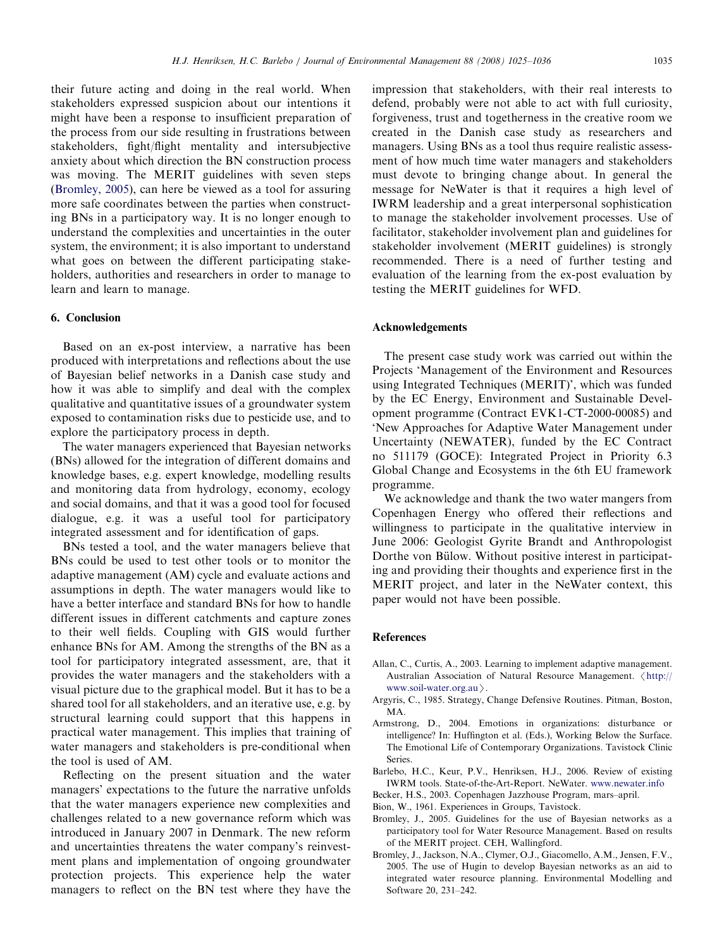<span id="page-10-0"></span>their future acting and doing in the real world. When stakeholders expressed suspicion about our intentions it might have been a response to insufficient preparation of the process from our side resulting in frustrations between stakeholders, fight/flight mentality and intersubjective anxiety about which direction the BN construction process was moving. The MERIT guidelines with seven steps (Bromley, 2005), can here be viewed as a tool for assuring more safe coordinates between the parties when constructing BNs in a participatory way. It is no longer enough to understand the complexities and uncertainties in the outer system, the environment; it is also important to understand what goes on between the different participating stakeholders, authorities and researchers in order to manage to learn and learn to manage.

## 6. Conclusion

Based on an ex-post interview, a narrative has been produced with interpretations and reflections about the use of Bayesian belief networks in a Danish case study and how it was able to simplify and deal with the complex qualitative and quantitative issues of a groundwater system exposed to contamination risks due to pesticide use, and to explore the participatory process in depth.

The water managers experienced that Bayesian networks (BNs) allowed for the integration of different domains and knowledge bases, e.g. expert knowledge, modelling results and monitoring data from hydrology, economy, ecology and social domains, and that it was a good tool for focused dialogue, e.g. it was a useful tool for participatory integrated assessment and for identification of gaps.

BNs tested a tool, and the water managers believe that BNs could be used to test other tools or to monitor the adaptive management (AM) cycle and evaluate actions and assumptions in depth. The water managers would like to have a better interface and standard BNs for how to handle different issues in different catchments and capture zones to their well fields. Coupling with GIS would further enhance BNs for AM. Among the strengths of the BN as a tool for participatory integrated assessment, are, that it provides the water managers and the stakeholders with a visual picture due to the graphical model. But it has to be a shared tool for all stakeholders, and an iterative use, e.g. by structural learning could support that this happens in practical water management. This implies that training of water managers and stakeholders is pre-conditional when the tool is used of AM.

Reflecting on the present situation and the water managers' expectations to the future the narrative unfolds that the water managers experience new complexities and challenges related to a new governance reform which was introduced in January 2007 in Denmark. The new reform and uncertainties threatens the water company's reinvestment plans and implementation of ongoing groundwater protection projects. This experience help the water managers to reflect on the BN test where they have the impression that stakeholders, with their real interests to defend, probably were not able to act with full curiosity, forgiveness, trust and togetherness in the creative room we created in the Danish case study as researchers and managers. Using BNs as a tool thus require realistic assessment of how much time water managers and stakeholders must devote to bringing change about. In general the message for NeWater is that it requires a high level of IWRM leadership and a great interpersonal sophistication to manage the stakeholder involvement processes. Use of facilitator, stakeholder involvement plan and guidelines for stakeholder involvement (MERIT guidelines) is strongly recommended. There is a need of further testing and evaluation of the learning from the ex-post evaluation by testing the MERIT guidelines for WFD.

#### Acknowledgements

The present case study work was carried out within the Projects 'Management of the Environment and Resources using Integrated Techniques (MERIT)', which was funded by the EC Energy, Environment and Sustainable Development programme (Contract EVK1-CT-2000-00085) and 'New Approaches for Adaptive Water Management under Uncertainty (NEWATER), funded by the EC Contract no 511179 (GOCE): Integrated Project in Priority 6.3 Global Change and Ecosystems in the 6th EU framework programme.

We acknowledge and thank the two water mangers from Copenhagen Energy who offered their reflections and willingness to participate in the qualitative interview in June 2006: Geologist Gyrite Brandt and Anthropologist Dorthe von Bülow. Without positive interest in participating and providing their thoughts and experience first in the MERIT project, and later in the NeWater context, this paper would not have been possible.

#### **References**

- Allan, C., Curtis, A., 2003. Learning to implement adaptive management. Australian Association of Natural Resource Management.  $\langle$ [http://](http://www.soil-water.org.au) [www.soil-water.org.au](http://www.soil-water.org.au) $\rangle$ .
- Argyris, C., 1985. Strategy, Change Defensive Routines. Pitman, Boston, MA.
- Armstrong, D., 2004. Emotions in organizations: disturbance or intelligence? In: Huffington et al. (Eds.), Working Below the Surface. The Emotional Life of Contemporary Organizations. Tavistock Clinic Series.
- Barlebo, H.C., Keur, P.V., Henriksen, H.J., 2006. Review of existing IWRM tools. State-of-the-Art-Report. NeWater. [www.newater.info](http://www.newater.infohttp://)
- Becker, H.S., 2003. Copenhagen Jazzhouse Program, mars–april.
- Bion, W., 1961. Experiences in Groups, Tavistock.
- Bromley, J., 2005. Guidelines for the use of Bayesian networks as a participatory tool for Water Resource Management. Based on results of the MERIT project. CEH, Wallingford.
- Bromley, J., Jackson, N.A., Clymer, O.J., Giacomello, A.M., Jensen, F.V., 2005. The use of Hugin to develop Bayesian networks as an aid to integrated water resource planning. Environmental Modelling and Software 20, 231–242.